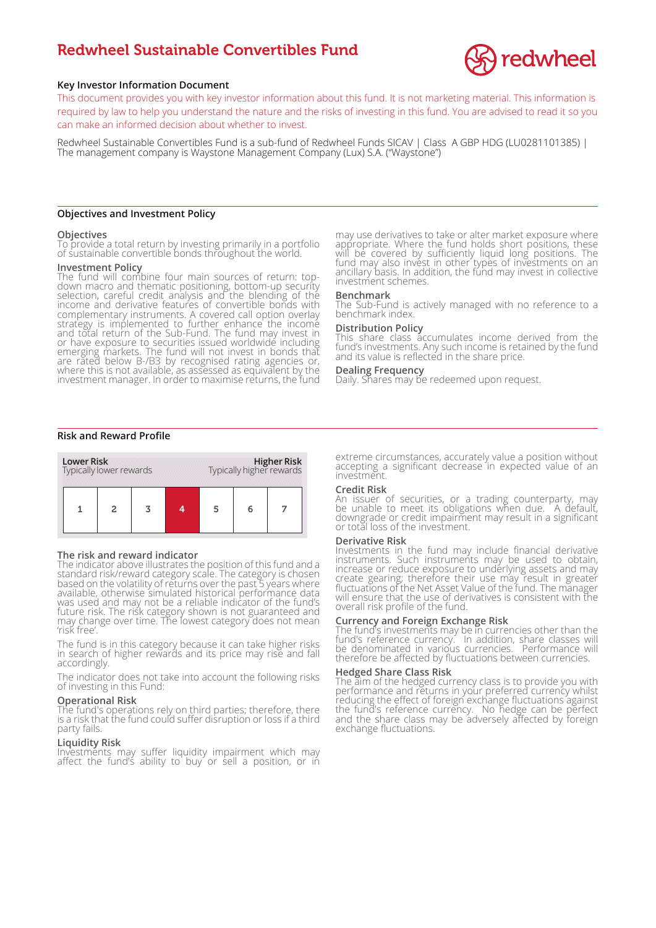# Redwheel Sustainable Convertibles Fund



## **Key Investor Information Document**

This document provides you with key investor information about this fund. It is not marketing material. This information is required by law to help you understand the nature and the risks of investing in this fund. You are advised to read it so you can make an informed decision about whether to invest.

Redwheel Sustainable Convertibles Fund is a sub-fund of Redwheel Funds SICAV | Class A GBP HDG (LU0281101385) | The management company is Waystone Management Company (Lux) S.A. ("Waystone")

## **Objectives and Investment Policy**

#### **Objectives**

To provide a total return by investing primarily in a portfolio of sustainable convertible bonds throughout the world.

#### **Investment Policy**

The fund will combine four main sources of return: topdown macro and thematic positioning, bottom-up security selection, careful credit analysis and the blending of the income and derivative features of convertible bonds with complementary instruments. A covered call option overlay strategy is implemented to further enhance the income and total return of the Sub-Fund. The fund may invest in or have exposure to securities issued worldwide including emerging markets. The fund will not invest in bonds that are rated below B-/B3 by recognised rating agencies or, where this is not available, as assessed as equivalent by the investment manager. In order to maximise returns, the fund

may use derivatives to take or alter market exposure where appropriate. Where the fund holds short positions, these will be covered by sufficiently liquid long positions. The fund may also invest in other types of investments on an ancillary basis. In addition, the fund may invest in collective investment schemes.

## **Benchmark**

The Sub-Fund is actively managed with no reference to a benchmark index.

## **Distribution Policy**

This share class accumulates income derived from the fund's investments. Any such income is retained by the fund and its value is reflected in the share price.

#### **Dealing Frequency**

Daily. Shares may be redeemed upon request.

## **Risk and Reward Profile**



#### **The risk and reward indicator**

The indicator above illustrates the position of this fund and a standard risk/reward category scale. The category is chosen based on the volatility of returns over the past 5 years where available, otherwise simulated historical performance data was used and may not be a reliable indicator of the fund's future risk. The risk category shown is not guaranteed and may change over time. The lowest category does not mean 'risk free'.

The fund is in this category because it can take higher risks in search of higher rewards and its price may rise and fall accordingly.

The indicator does not take into account the following risks of investing in this Fund:

#### **Operational Risk**

The fund's operations rely on third parties; therefore, there is a risk that the fund could suffer disruption or loss if a third party fails.

## **Liquidity Risk**

Investments may suffer liquidity impairment which may affect the fund's ability to buy or sell a position, or in extreme circumstances, accurately value a position without accepting a significant decrease in expected value of an investment.

## **Credit Risk**

An issuer of securities, or a trading counterparty, may be unable to meet its obligations when due. A default, downgrade or credit impairment may result in a significant or total loss of the investment.

#### **Derivative Risk**

Investments in the fund may include financial derivative instruments. Such instruments may be used to obtain, increase or reduce exposure to underlying assets and may create gearing; therefore their use may result in greater fluctuations of the Net Asset Value of the fund. The manager will ensure that the use of derivatives is consistent with the overall risk profile of the fund.

#### **Currency and Foreign Exchange Risk**

The fund's investments may be in currencies other than the fund's reference currency. In addition, share classes will be denominated in various currencies. Performance will therefore be affected by fluctuations between currencies.

## **Hedged Share Class Risk**

The aim of the hedged currency class is to provide you with performance and returns in your preferred currency whilst reducing the effect of foreign exchange fluctuations against the fund's reference currency. No hedge can be perfect and the share class may be adversely affected by foreign exchange fluctuations.